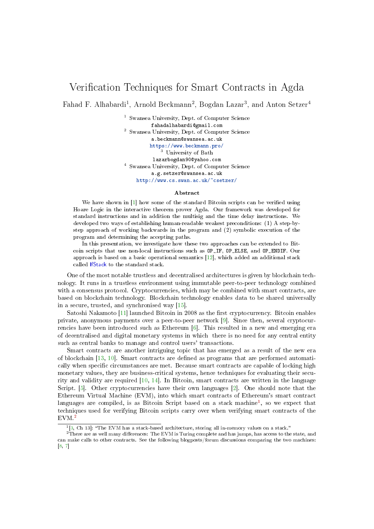## Verification Techniques for Smart Contracts in Agda

Fahad F. Alhabardi<sup>1</sup>, Arnold Beckmann<sup>2</sup>, Bogdan Lazar<sup>3</sup>, and Anton Setzer<sup>4</sup>

<sup>1</sup> Swansea University, Dept. of Computer Science fahadalhabardi@gmail.com <sup>2</sup> Swansea University, Dept. of Computer Science a.beckmann@swansea.ac.uk <https://www.beckmann.pro/> <sup>3</sup> University of Bath lazarbogdan90@yahoo.com <sup>4</sup> Swansea University, Dept. of Computer Science a.g.setzer@swansea.ac.uk

<http://www.cs.swan.ac.uk/~csetzer/>

## Abstract

We have shown in [\[1\]](#page-2-0) how some of the standard Bitcoin scripts can be verified using Hoare Logic in the interactive theorem prover Agda. Our framework was developed for standard instructions and in addition the multisig and the time delay instructions. We developed two ways of establishing human-readable weakest preconditions: (1) A step-bystep approach of working backwards in the program and (2) symbolic execution of the program and determining the accepting paths.

In this presentation, we investigate how these two approaches can be extended to Bitcoin scripts that use non-local instructions such as OP\_IF, OP\_ELSE, and OP\_ENDIF. Our approach is based on a basic operational semantics [\[12\]](#page-2-1), which added an additional stack called IfStack to the standard stack.

One of the most notable trustless and decentralised architectures is given by blockchain technology. It runs in a trustless environment using immutable peer-to-peer technology combined with a consensus protocol. Cryptocurrencies, which may be combined with smart contracts, are based on blockchain technology. Blockchain technology enables data to be shared universally in a secure, trusted, and synchronised way [\[15\]](#page-2-2).

Satoshi Nakamoto  $[11]$  launched Bitcoin in 2008 as the first cryptocurrency. Bitcoin enables private, anonymous payments over a peer-to-peer network [\[9\]](#page-2-4). Since then, several cryptocurrencies have been introduced such as Ethereum [\[6\]](#page-2-5). This resulted in a new and emerging era of decentralised and digital monetary systems in which there is no need for any central entity such as central banks to manage and control users' transactions.

Smart contracts are another intriguing topic that has emerged as a result of the new era of blockchain  $[13, 10]$  $[13, 10]$  $[13, 10]$ . Smart contracts are defined as programs that are performed automatically when specific circumstances are met. Because smart contracts are capable of locking high monetary values, they are business-critical systems, hence techniques for evaluating their security and validity are required [\[10,](#page-2-7) [14\]](#page-2-8). In Bitcoin, smart contracts are written in the language Script. [\[5\]](#page-2-9). Other cryptocurrencies have their own languages [\[2\]](#page-2-10). One should note that the Ethereum Virtual Machine (EVM), into which smart contracts of Ethereum's smart contract languages are compiled, is as Bitcoin Script based on a stack machine<sup>[1](#page-0-0)</sup>, so we expect that techniques used for verifying Bitcoin scripts carry over when verifying smart contracts of the EVM.<sup>[2](#page-0-1)</sup>

<span id="page-0-1"></span><span id="page-0-0"></span><sup>&</sup>lt;sup>1</sup>[\[3,](#page-2-11) Ch 13]: "The EVM has a stack-based architecture, storing all in-memory values on a stack."

 $2$ There are as well many differences: The EVM is Turing complete and has jumps, has access to the state, and can make calls to other contracts. See the following blogposts/forum discussions comparing the two machines: [\[8,](#page-2-12) [7\]](#page-2-13)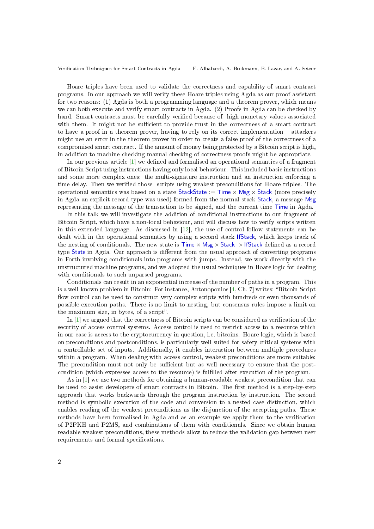Verification Techniques for Smart Contracts in Agda F. Alhabardi, A. Beckmann, B. Lazar, and A. Setzer

Hoare triples have been used to validate the correctness and capability of smart contract programs. In our approach we will verify these Hoare triples using Agda as our proof assistant for two reasons: (1) Agda is both a programming language and a theorem prover, which means we can both execute and verify smart contracts in Agda. (2) Proofs in Agda can be checked by hand. Smart contracts must be carefully verified because of high monetary values associated with them. It might not be sufficient to provide trust in the correctness of a smart contract to have a proof in a theorem prover, having to rely on its correct implementation  $-$  attackers might use an error in the theorem prover in order to create a false proof of the correctness of a compromised smart contract. If the amount of money being protected by a Bitcoin script is high, in addition to machine checking manual checking of correctness proofs might be appropriate.

In our previous article  $[1]$  we defined and formalised an operational semantics of a fragment of Bitcoin Script using instructions having only local behaviour. This included basic instructions and some more complex ones: the multi-signature instruction and an instruction enforcing a time delay. Then we verified those scripts using weakest preconditions for Hoare triples. The operational semantics was based on a state StackState :=  $\overline{\text{Time}} \times \text{Msg} \times \text{Stack}$  (more precisely in Agda an explicit record type was used) formed from the normal stack Stack, a message Msg representing the message of the transaction to be signed, and the current time Time in Agda.

In this talk we will investigate the addition of conditional instructions to our fragment of Bitcoin Script, which have a non-local behaviour, and will discuss how to verify scripts written in this extended language. As discussed in  $[12]$ , the use of control follow statements can be dealt with in the operational semantics by using a second stack IfStack, which keeps track of the nesting of conditionals. The new state is  $\text{Time} \times \text{Msg} \times \text{Stack} \times \text{lfStack}$  defined as a record type State in Agda. Our approach is different from the usual approach of converting programs in Forth involving conditionals into programs with jumps. Instead, we work directly with the unstructured machine programs, and we adopted the usual techniques in Hoare logic for dealing with conditionals to such unparsed programs.

Conditionals can result in an exponential increase of the number of paths in a program. This is a well-known problem in Bitcoin: For instance, Antonopoulos  $[4, Ch. 7]$  $[4, Ch. 7]$  writes: "Bitcoin Script" flow control can be used to construct very complex scripts with hundreds or even thousands of possible execution paths. There is no limit to nesting, but consensus rules impose a limit on the maximum size, in bytes, of a script".

In [\[1\]](#page-2-0) we argued that the correctness of Bitcoin scripts can be considered as verication of the security of access control systems. Access control is used to restrict access to a resource which in our case is access to the cryptocurrency in question, i.e. bitcoins. Hoare logic, which is based on preconditions and postconditions, is particularly well suited for safety-critical systems with a controllable set of inputs. Additionally, it enables interaction between multiple procedures within a program. When dealing with access control, weakest preconditions are more suitable: The precondition must not only be sufficient but as well necessary to ensure that the postcondition (which expresses access to the resource) is fullled after execution of the program.

As in [\[1\]](#page-2-0) we use two methods for obtaining a human-readable weakest precondition that can be used to assist developers of smart contracts in Bitcoin. The first method is a step-by-step approach that works backwards through the program instruction by instruction. The second method is symbolic execution of the code and conversion to a nested case distinction, which enables reading off the weakest preconditions as the disjunction of the accepting paths. These methods have been formalised in Agda and as an example we apply them to the verication of P2PKH and P2MS, and combinations of them with conditionals. Since we obtain human readable weakest preconditions, these methods allow to reduce the validation gap between user requirements and formal specifications.